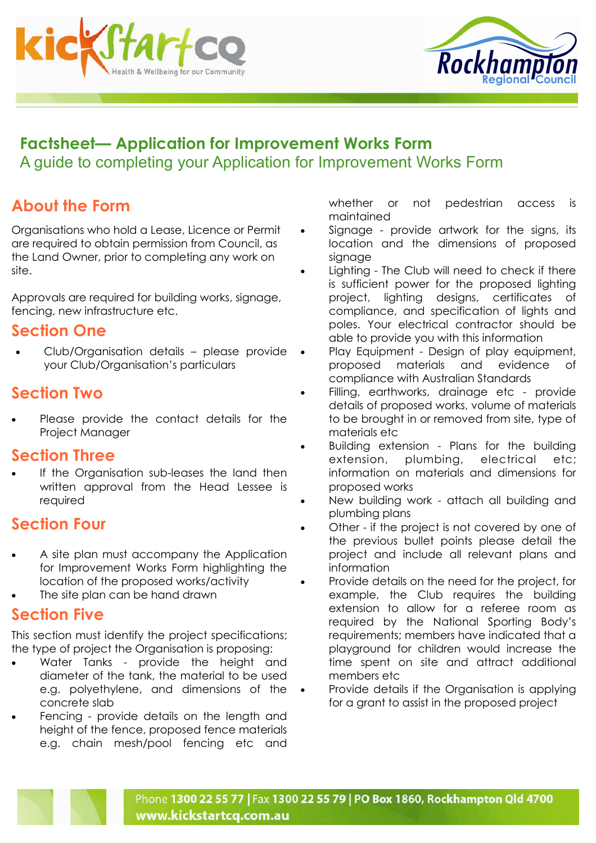



## Factsheet— Application for Improvement Works Form A guide to completing your Application for Improvement Works Form

# About the Form

Organisations who hold a Lease, Licence or Permit are required to obtain permission from Council, as the Land Owner, prior to completing any work on site.

Approvals are required for building works, signage, fencing, new infrastructure etc.

### Section One

• Club/Organisation details – please provide your Club/Organisation's particulars

# Section Two

Please provide the contact details for the Project Manager

#### Section Three

If the Organisation sub-leases the land then written approval from the Head Lessee is required

# Section Four

- A site plan must accompany the Application for Improvement Works Form highlighting the location of the proposed works/activity
- The site plan can be hand drawn

#### Section Five

This section must identify the project specifications; the type of project the Organisation is proposing:

- Water Tanks provide the height and diameter of the tank, the material to be used e.g. polyethylene, and dimensions of the concrete slab
- Fencing provide details on the length and height of the fence, proposed fence materials e.g. chain mesh/pool fencing etc and

whether or not pedestrian access is maintained

- Signage provide artwork for the signs, its location and the dimensions of proposed signage
- Lighting The Club will need to check if there is sufficient power for the proposed lighting project, lighting designs, certificates of compliance, and specification of lights and poles. Your electrical contractor should be able to provide you with this information
- Play Equipment Design of play equipment, proposed materials and evidence of compliance with Australian Standards
- Filling, earthworks, drainage etc provide details of proposed works, volume of materials to be brought in or removed from site, type of materials etc
- Building extension Plans for the building extension, plumbing, electrical etc; information on materials and dimensions for proposed works
- New building work attach all building and plumbing plans
- Other if the project is not covered by one of the previous bullet points please detail the project and include all relevant plans and information
- Provide details on the need for the project, for example, the Club requires the building extension to allow for a referee room as required by the National Sporting Body's requirements; members have indicated that a playground for children would increase the time spent on site and attract additional members etc.
- Provide details if the Organisation is applying for a grant to assist in the proposed project